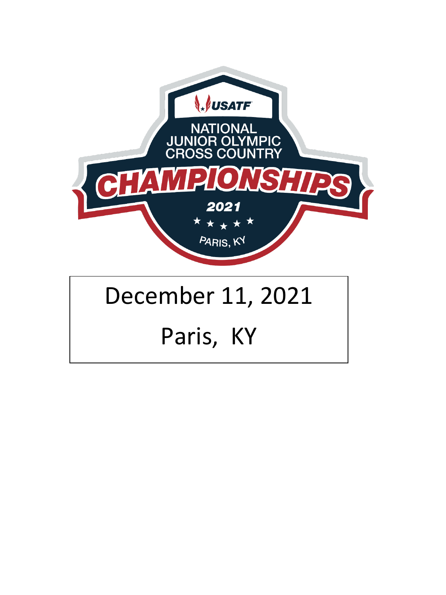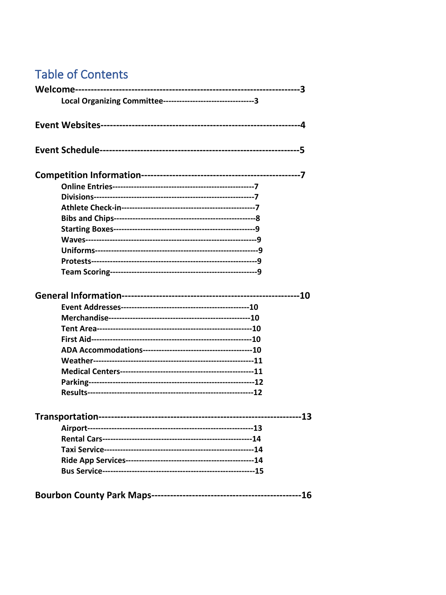# **Table of Contents**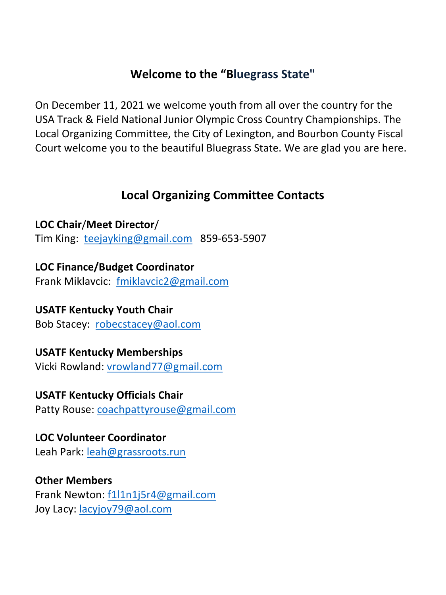# **Welcome to the "Bluegrass State"**

On December 11, 2021 we welcome youth from all over the country for the USA Track & Field National Junior Olympic Cross Country Championships. The Local Organizing Committee, the City of Lexington, and Bourbon County Fiscal Court welcome you to the beautiful Bluegrass State. We are glad you are here.

# **Local Organizing Committee Contacts**

**LOC Chair**/**Meet Director**/ Tim King: [teejayking@gmail.com](mailto:teejayking@gmail.com) 859-653-5907

**LOC Finance/Budget Coordinator** Frank Miklavcic: [fmiklavcic2@gmail.com](mailto:fmiklavcic2@gmail.com) 

**USATF Kentucky Youth Chair**  Bob Stacey: [robecstacey@aol.com](mailto:robecstacey@aol.com) 

**USATF Kentucky Memberships** Vicki Rowland: [vrowland77@gmail.com](mailto:vrowland77@gmail.com) 

**USATF Kentucky Officials Chair**  Patty Rouse: [coachpattyrouse@gmail.com](mailto:coachpattyrouse@gmail.com) 

**LOC Volunteer Coordinator** Leah Park: [leah@grassroots.run](mailto:leah@grassroots.run) 

**Other Members**  Frank Newton: [f1l1n1j5r4@gmail.com](mailto:f1l1n1j5r4@gmail.com) Joy Lacy: [lacyjoy79@aol.com](mailto:lacyjoy79@aol.com)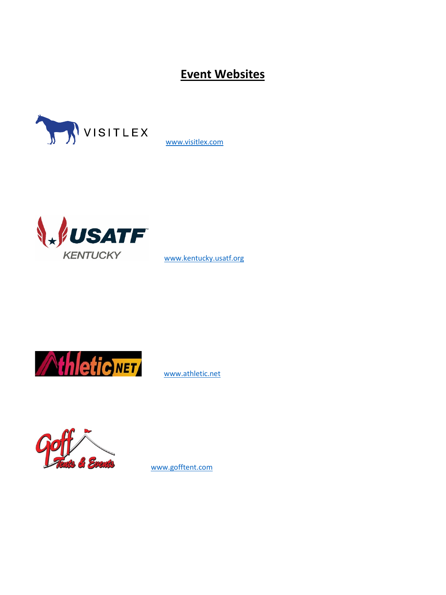**Event Websites**



[www.visitlex.com](http://www.visitlex.com/)



[www.kentucky.usatf.org](http://www.kentucky.usatf.org/) 



[www.athletic.net](http://www.athletic.net/)



[www.gofftent.com](http://www.gofftent.com/)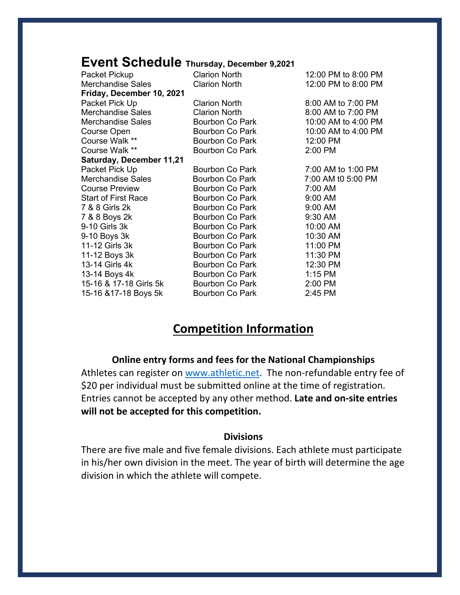# **Event Schedule Thursday, December 9,2021**

| Packet Pickup                   | <b>Clarion North</b> | 12:00 PM to 8:00 PM |
|---------------------------------|----------------------|---------------------|
| <b>Merchandise Sales</b>        | <b>Clarion North</b> | 12:00 PM to 8:00 PM |
| Friday, December 10, 2021       |                      |                     |
| Packet Pick Up                  | <b>Clarion North</b> | 8:00 AM to 7:00 PM  |
| <b>Merchandise Sales</b>        | <b>Clarion North</b> | 8:00 AM to 7:00 PM  |
| <b>Merchandise Sales</b>        | Bourbon Co Park      | 10:00 AM to 4:00 PM |
| Course Open                     | Bourbon Co Park      | 10:00 AM to 4:00 PM |
| Course Walk **                  | Bourbon Co Park      | 12:00 PM            |
| Course Walk **                  | Bourbon Co Park      | 2:00 PM             |
| <b>Saturday, December 11,21</b> |                      |                     |
| Packet Pick Up                  | Bourbon Co Park      | 7:00 AM to 1:00 PM  |
| <b>Merchandise Sales</b>        | Bourbon Co Park      | 7:00 AM t0 5:00 PM  |
| <b>Course Preview</b>           | Bourbon Co Park      | 7:00 AM             |
| <b>Start of First Race</b>      | Bourbon Co Park      | 9:00 AM             |
| 7 & 8 Girls 2k                  | Bourbon Co Park      | 9:00 AM             |
| 7 & 8 Boys 2k                   | Bourbon Co Park      | 9:30 AM             |
| 9-10 Girls 3k                   | Bourbon Co Park      | 10:00 AM            |
| 9-10 Boys 3k                    | Bourbon Co Park      | 10:30 AM            |
| 11-12 Girls 3k                  | Bourbon Co Park      | 11:00 PM            |
| 11-12 Boys 3k                   | Bourbon Co Park      | 11:30 PM            |
| 13-14 Girls 4k                  | Bourbon Co Park      | 12:30 PM            |
| 13-14 Boys 4k                   | Bourbon Co Park      | 1:15 PM             |
| 15-16 & 17-18 Girls 5k          | Bourbon Co Park      | 2:00 PM             |
| 15-16 & 17-18 Boys 5k           | Bourbon Co Park      | 2:45 PM             |

# **Competition Information**

### **Online entry forms and fees for the National Championships**

Athletes can register on [www.athletic.net.](http://www.athletic.net/) The non-refundable entry fee of \$20 per individual must be submitted online at the time of registration. Entries cannot be accepted by any other method. **Late and on-site entries will not be accepted for this competition.**

### **Divisions**

There are five male and five female divisions. Each athlete must participate in his/her own division in the meet. The year of birth will determine the age division in which the athlete will compete.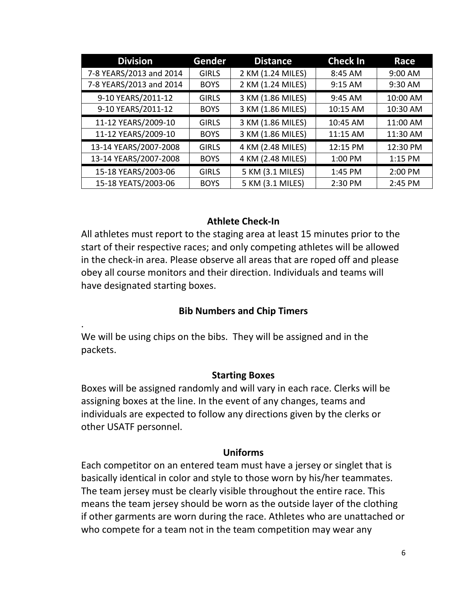| <b>Division</b>         | Gender       | <b>Distance</b>   | <b>Check In</b> | Race     |
|-------------------------|--------------|-------------------|-----------------|----------|
| 7-8 YEARS/2013 and 2014 | <b>GIRLS</b> | 2 KM (1.24 MILES) | 8:45 AM         | 9:00 AM  |
| 7-8 YEARS/2013 and 2014 | <b>BOYS</b>  | 2 KM (1.24 MILES) | 9:15 AM         | 9:30 AM  |
| 9-10 YEARS/2011-12      | <b>GIRLS</b> | 3 KM (1.86 MILES) | 9:45 AM         | 10:00 AM |
| 9-10 YEARS/2011-12      | <b>BOYS</b>  | 3 KM (1.86 MILES) | 10:15 AM        | 10:30 AM |
| 11-12 YEARS/2009-10     | <b>GIRLS</b> | 3 KM (1.86 MILES) | 10:45 AM        | 11:00 AM |
| 11-12 YEARS/2009-10     | <b>BOYS</b>  | 3 KM (1.86 MILES) | 11:15 AM        | 11:30 AM |
| 13-14 YEARS/2007-2008   | <b>GIRLS</b> | 4 KM (2.48 MILES) | 12:15 PM        | 12:30 PM |
| 13-14 YEARS/2007-2008   | <b>BOYS</b>  | 4 KM (2.48 MILES) | 1:00 PM         | 1:15 PM  |
| 15-18 YEARS/2003-06     | <b>GIRLS</b> | 5 KM (3.1 MILES)  | 1:45 PM         | 2:00 PM  |
| 15-18 YEATS/2003-06     | <b>BOYS</b>  | 5 KM (3.1 MILES)  | 2:30 PM         | 2:45 PM  |

### **Athlete Check-In**

All athletes must report to the staging area at least 15 minutes prior to the start of their respective races; and only competing athletes will be allowed in the check-in area. Please observe all areas that are roped off and please obey all course monitors and their direction. Individuals and teams will have designated starting boxes.

### **Bib Numbers and Chip Timers**

We will be using chips on the bibs. They will be assigned and in the packets.

.

#### **Starting Boxes**

Boxes will be assigned randomly and will vary in each race. Clerks will be assigning boxes at the line. In the event of any changes, teams and individuals are expected to follow any directions given by the clerks or other USATF personnel.

#### **Uniforms**

Each competitor on an entered team must have a jersey or singlet that is basically identical in color and style to those worn by his/her teammates. The team jersey must be clearly visible throughout the entire race. This means the team jersey should be worn as the outside layer of the clothing if other garments are worn during the race. Athletes who are unattached or who compete for a team not in the team competition may wear any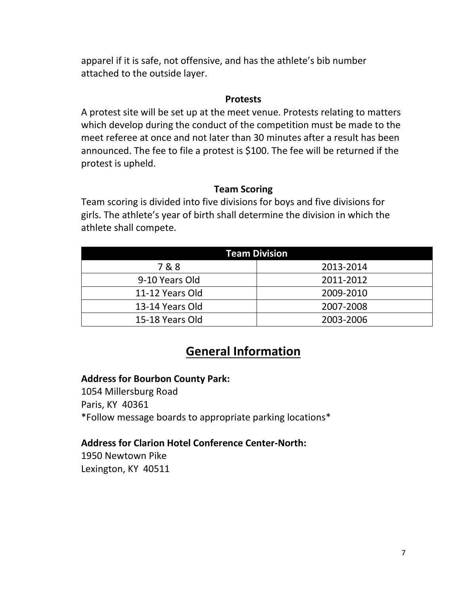apparel if it is safe, not offensive, and has the athlete's bib number attached to the outside layer.

### **Protests**

A protest site will be set up at the meet venue. Protests relating to matters which develop during the conduct of the competition must be made to the meet referee at once and not later than 30 minutes after a result has been announced. The fee to file a protest is \$100. The fee will be returned if the protest is upheld.

### **Team Scoring**

Team scoring is divided into five divisions for boys and five divisions for girls. The athlete's year of birth shall determine the division in which the athlete shall compete.

| <b>Team Division</b> |           |  |  |  |
|----------------------|-----------|--|--|--|
| 7&8                  | 2013-2014 |  |  |  |
| 9-10 Years Old       | 2011-2012 |  |  |  |
| 11-12 Years Old      | 2009-2010 |  |  |  |
| 13-14 Years Old      | 2007-2008 |  |  |  |
| 15-18 Years Old      | 2003-2006 |  |  |  |

# **General Information**

### **Address for Bourbon County Park:**

1054 Millersburg Road Paris, KY 40361 \*Follow message boards to appropriate parking locations\*

### **Address for Clarion Hotel Conference Center-North:**

1950 Newtown Pike Lexington, KY 40511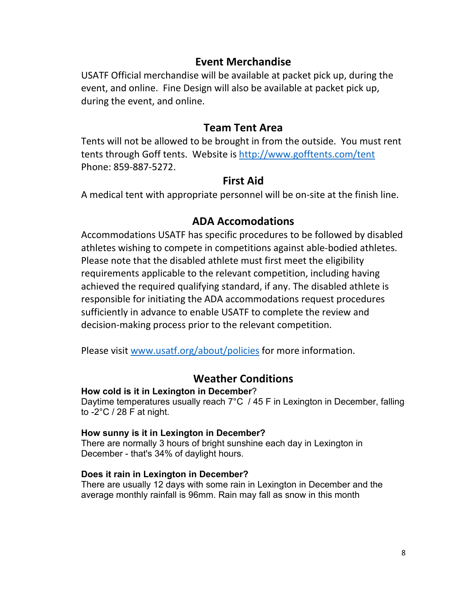## **Event Merchandise**

USATF Official merchandise will be available at packet pick up, during the event, and online. Fine Design will also be available at packet pick up, during the event, and online.

### **Team Tent Area**

Tents will not be allowed to be brought in from the outside. You must rent tents through Goff tents. Website is<http://www.gofftents.com/tent> Phone: 859-887-5272.

### **First Aid**

A medical tent with appropriate personnel will be on-site at the finish line.

## **ADA Accomodations**

Accommodations USATF has specific procedures to be followed by disabled athletes wishing to compete in competitions against able-bodied athletes. Please note that the disabled athlete must first meet the eligibility requirements applicable to the relevant competition, including having achieved the required qualifying standard, if any. The disabled athlete is responsible for initiating the ADA accommodations request procedures sufficiently in advance to enable USATF to complete the review and decision-making process prior to the relevant competition.

Please visit [www.usatf.org/about/policies](http://www.usatf.org/about/policies) for more information.

## **Weather Conditions**

### **How cold is it in Lexington in December**?

Daytime temperatures usually reach 7°C / 45 F in Lexington in December, falling to -2°C / 28 F at night.

#### **How sunny is it in Lexington in December?**

There are normally 3 hours of bright sunshine each day in Lexington in December - that's 34% of daylight hours.

### **Does it rain in Lexington in December?**

There are usually 12 days with some rain in Lexington in December and the average monthly rainfall is 96mm. Rain may fall as snow in this month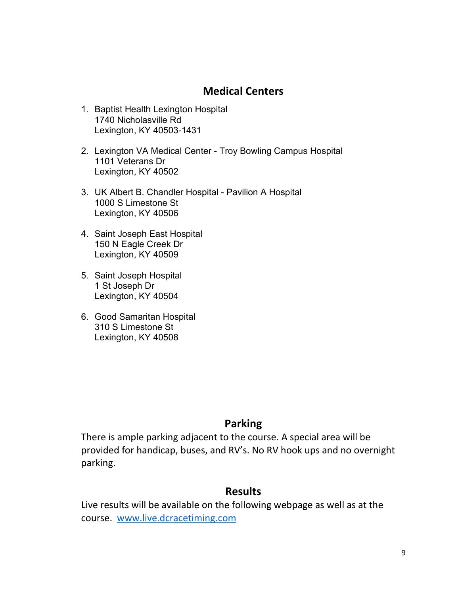## **Medical Centers**

- 1. Baptist Health Lexington Hospital 1740 Nicholasville Rd Lexington, KY 40503-1431
- 2. Lexington VA Medical Center Troy Bowling Campus Hospital 1101 Veterans Dr Lexington, KY 40502
- 3. UK Albert B. Chandler Hospital Pavilion A Hospital 1000 S Limestone St Lexington, KY 40506
- 4. Saint Joseph East Hospital 150 N Eagle Creek Dr Lexington, KY 40509
- 5. Saint Joseph Hospital 1 St Joseph Dr Lexington, KY 40504
- 6. Good Samaritan Hospital 310 S Limestone St Lexington, KY 40508

## **Parking**

There is ample parking adjacent to the course. A special area will be provided for handicap, buses, and RV's. No RV hook ups and no overnight parking.

## **Results**

Live results will be available on the following webpage as well as at the course. [www.live.dcracetiming.com](http://www.live.dcracetiming.com/)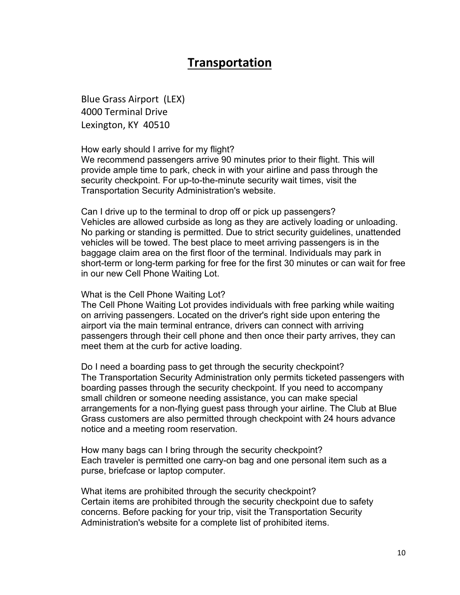# **Transportation**

Blue Grass Airport (LEX) 4000 Terminal Drive Lexington, KY 40510

#### How early should I arrive for my flight?

We recommend passengers arrive 90 minutes prior to their flight. This will provide ample time to park, check in with your airline and pass through the security checkpoint. For up-to-the-minute security wait times, visit the Transportation Security Administration's website.

Can I drive up to the terminal to drop off or pick up passengers? Vehicles are allowed curbside as long as they are actively loading or unloading. No parking or standing is permitted. Due to strict security guidelines, unattended vehicles will be towed. The best place to meet arriving passengers is in the baggage claim area on the first floor of the terminal. Individuals may park in short-term or long-term parking for free for the first 30 minutes or can wait for free in our new Cell Phone Waiting Lot.

#### What is the Cell Phone Waiting Lot?

The Cell Phone Waiting Lot provides individuals with free parking while waiting on arriving passengers. Located on the driver's right side upon entering the airport via the main terminal entrance, drivers can connect with arriving passengers through their cell phone and then once their party arrives, they can meet them at the curb for active loading.

Do I need a boarding pass to get through the security checkpoint? The Transportation Security Administration only permits ticketed passengers with boarding passes through the security checkpoint. If you need to accompany small children or someone needing assistance, you can make special arrangements for a non-flying guest pass through your airline. The Club at Blue Grass customers are also permitted through checkpoint with 24 hours advance notice and a meeting room reservation.

How many bags can I bring through the security checkpoint? Each traveler is permitted one carry-on bag and one personal item such as a purse, briefcase or laptop computer.

What items are prohibited through the security checkpoint? Certain items are prohibited through the security checkpoint due to safety concerns. Before packing for your trip, visit the Transportation Security Administration's website for a complete list of prohibited items.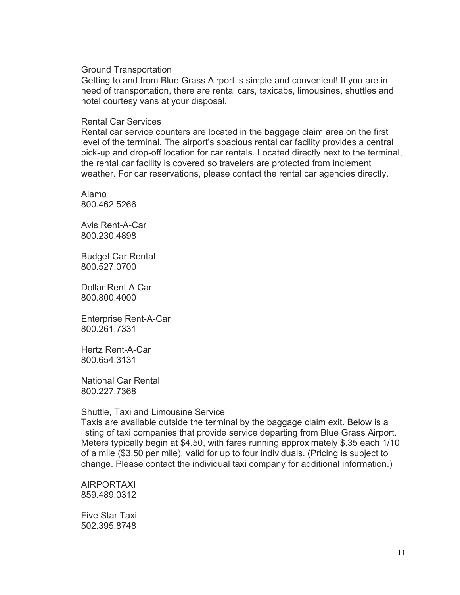Ground Transportation

Getting to and from Blue Grass Airport is simple and convenient! If you are in need of transportation, there are rental cars, taxicabs, limousines, shuttles and hotel courtesy vans at your disposal.

#### Rental Car Services

Rental car service counters are located in the baggage claim area on the first level of the terminal. The airport's spacious rental car facility provides a central pick-up and drop-off location for car rentals. Located directly next to the terminal, the rental car facility is covered so travelers are protected from inclement weather. For car reservations, please contact the rental car agencies directly.

Alamo 800.462.5266

Avis Rent-A-Car 800.230.4898

Budget Car Rental 800.527.0700

Dollar Rent A Car 800.800.4000

Enterprise Rent-A-Car 800.261.7331

Hertz Rent-A-Car 800.654.3131

National Car Rental 800.227.7368

#### Shuttle, Taxi and Limousine Service

Taxis are available outside the terminal by the baggage claim exit. Below is a listing of taxi companies that provide service departing from Blue Grass Airport. Meters typically begin at \$4.50, with fares running approximately \$.35 each 1/10 of a mile (\$3.50 per mile), valid for up to four individuals. (Pricing is subject to change. Please contact the individual taxi company for additional information.)

AIRPORTAXI 859.489.0312

Five Star Taxi 502.395.8748